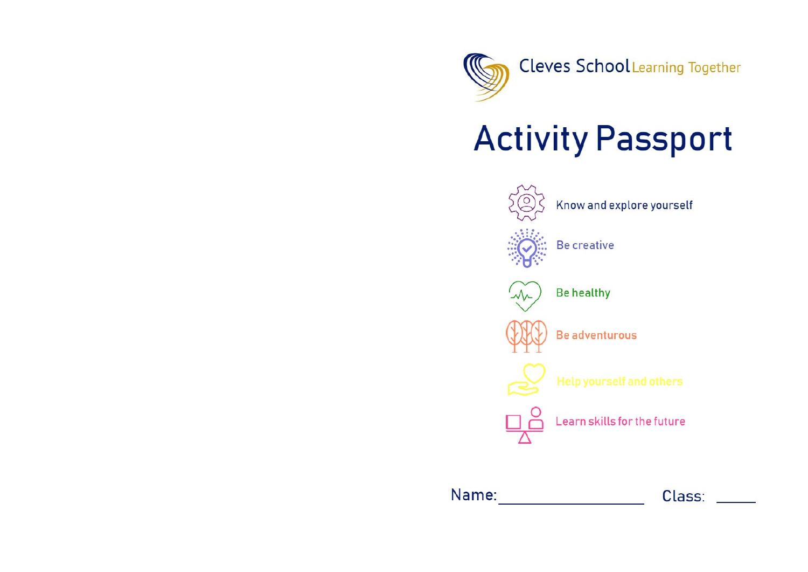

## **Activity Passport**